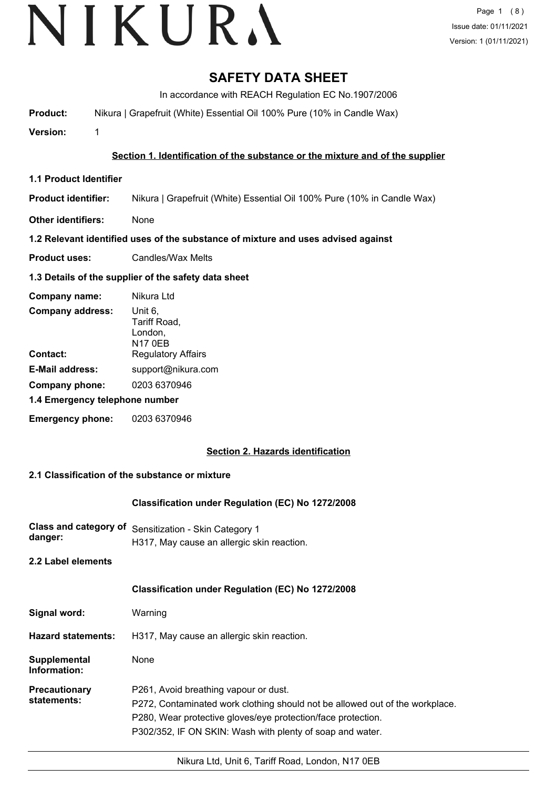# **SAFETY DATA SHEET**

In accordance with REACH Regulation EC No.1907/2006

**Product:** Nikura | Grapefruit (White) Essential Oil 100% Pure (10% in Candle Wax)

**Version:** 1

#### **Section 1. Identification of the substance or the mixture and of the supplier**

- **1.1 Product Identifier**
- **Product identifier:** Nikura | Grapefruit (White) Essential Oil 100% Pure (10% in Candle Wax)
- **Other identifiers:** None

#### **1.2 Relevant identified uses of the substance of mixture and uses advised against**

**Product uses:** Candles/Wax Melts

#### **1.3 Details of the supplier of the safety data sheet**

| Company name:                  | Nikura Ltd                                           |  |
|--------------------------------|------------------------------------------------------|--|
| <b>Company address:</b>        | Unit 6,<br>Tariff Road,<br>London,<br><b>N17 0EB</b> |  |
| Contact:                       | <b>Regulatory Affairs</b>                            |  |
| <b>E-Mail address:</b>         | support@nikura.com                                   |  |
| 0203 6370946<br>Company phone: |                                                      |  |
| 1.4 Emergency telephone number |                                                      |  |
| <b>Emergency phone:</b>        | 0203 6370946                                         |  |

# **Section 2. Hazards identification**

#### **2.1 Classification of the substance or mixture**

#### **Classification under Regulation (EC) No 1272/2008**

**Class and category of** Sensitization - Skin Category 1 **danger:** H317, May cause an allergic skin reaction.

**2.2 Label elements**

# **Classification under Regulation (EC) No 1272/2008**

| Signal word: | Warning |
|--------------|---------|
|--------------|---------|

**Hazard statements:** H317, May cause an allergic skin reaction.

| Supplemental<br>Information: | None                                                                                                                                         |
|------------------------------|----------------------------------------------------------------------------------------------------------------------------------------------|
| Precautionary<br>statements: | P261, Avoid breathing vapour or dust.                                                                                                        |
|                              | P272, Contaminated work clothing should not be allowed out of the workplace.<br>P280, Wear protective gloves/eye protection/face protection. |

P302/352, IF ON SKIN: Wash with plenty of soap and water.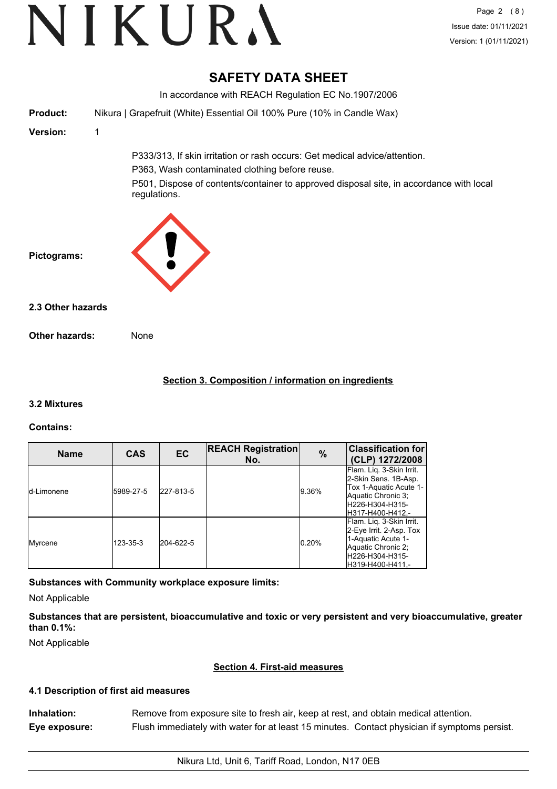# **SAFETY DATA SHEET**

|                       | In accordance with REACH Regulation EC No.1907/2006                                                                                                                                                                                     |
|-----------------------|-----------------------------------------------------------------------------------------------------------------------------------------------------------------------------------------------------------------------------------------|
| <b>Product:</b>       | Nikura   Grapefruit (White) Essential Oil 100% Pure (10% in Candle Wax)                                                                                                                                                                 |
| Version:              | 1                                                                                                                                                                                                                                       |
| Pictograms:           | P333/313, If skin irritation or rash occurs: Get medical advice/attention.<br>P363, Wash contaminated clothing before reuse.<br>P501, Dispose of contents/container to approved disposal site, in accordance with local<br>regulations. |
| 2.3 Other hazards     |                                                                                                                                                                                                                                         |
| <b>Other hazards:</b> | None                                                                                                                                                                                                                                    |

# **Section 3. Composition / information on ingredients**

# **3.2 Mixtures**

# **Contains:**

| <b>Name</b> | <b>CAS</b> | EC        | <b>REACH Registration</b><br>No. | $\%$  | <b>Classification for</b><br>(CLP) 1272/2008                                                                                             |
|-------------|------------|-----------|----------------------------------|-------|------------------------------------------------------------------------------------------------------------------------------------------|
| Id-Limonene | 5989-27-5  | 227-813-5 |                                  | 9.36% | Flam. Liq. 3-Skin Irrit.<br>2-Skin Sens. 1B-Asp.<br>Tox 1-Aquatic Acute 1-<br>Aquatic Chronic 3;<br>H226-H304-H315-<br>H317-H400-H412.-  |
| Myrcene     | 123-35-3   | 204-622-5 |                                  | 0.20% | Flam. Lig. 3-Skin Irrit.<br>2-Eye Irrit. 2-Asp. Tox<br>1-Aquatic Acute 1-<br>Aquatic Chronic 2;<br>lH226-H304-H315-<br>lH319-H400-H411.- |

**Substances with Community workplace exposure limits:**

Not Applicable

**Substances that are persistent, bioaccumulative and toxic or very persistent and very bioaccumulative, greater than 0.1%:**

Not Applicable

# **Section 4. First-aid measures**

# **4.1 Description of first aid measures**

| Inhalation:   | Remove from exposure site to fresh air, keep at rest, and obtain medical attention.          |  |
|---------------|----------------------------------------------------------------------------------------------|--|
| Eye exposure: | Flush immediately with water for at least 15 minutes. Contact physician if symptoms persist. |  |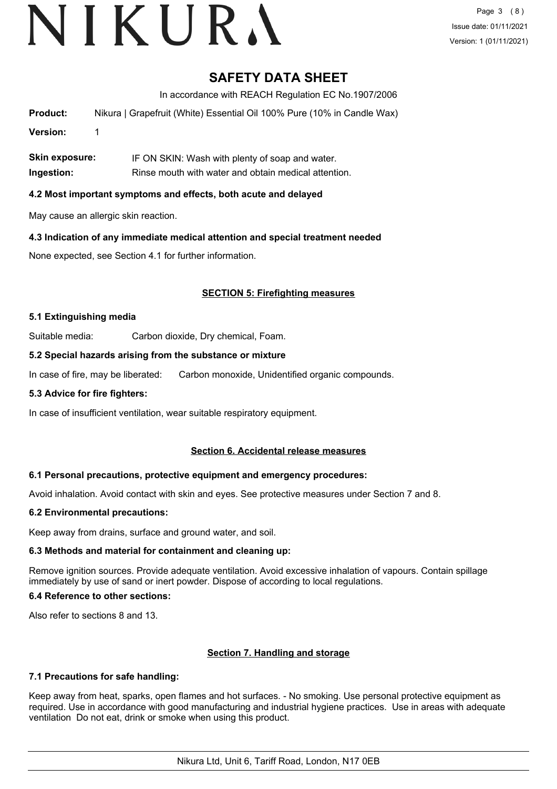Page 3 (8) Issue date: 01/11/2021 Version: 1 (01/11/2021)

# **SAFETY DATA SHEET**

In accordance with REACH Regulation EC No.1907/2006

**Product:** Nikura | Grapefruit (White) Essential Oil 100% Pure (10% in Candle Wax)

**Version:** 1

**Skin exposure:** IF ON SKIN: Wash with plenty of soap and water. **Ingestion:** Rinse mouth with water and obtain medical attention.

### **4.2 Most important symptoms and effects, both acute and delayed**

May cause an allergic skin reaction.

#### **4.3 Indication of any immediate medical attention and special treatment needed**

None expected, see Section 4.1 for further information.

# **SECTION 5: Firefighting measures**

#### **5.1 Extinguishing media**

Suitable media: Carbon dioxide, Dry chemical, Foam.

#### **5.2 Special hazards arising from the substance or mixture**

In case of fire, may be liberated: Carbon monoxide, Unidentified organic compounds.

#### **5.3 Advice for fire fighters:**

In case of insufficient ventilation, wear suitable respiratory equipment.

#### **Section 6. Accidental release measures**

#### **6.1 Personal precautions, protective equipment and emergency procedures:**

Avoid inhalation. Avoid contact with skin and eyes. See protective measures under Section 7 and 8.

#### **6.2 Environmental precautions:**

Keep away from drains, surface and ground water, and soil.

#### **6.3 Methods and material for containment and cleaning up:**

Remove ignition sources. Provide adequate ventilation. Avoid excessive inhalation of vapours. Contain spillage immediately by use of sand or inert powder. Dispose of according to local regulations.

#### **6.4 Reference to other sections:**

Also refer to sections 8 and 13.

# **Section 7. Handling and storage**

#### **7.1 Precautions for safe handling:**

Keep away from heat, sparks, open flames and hot surfaces. - No smoking. Use personal protective equipment as required. Use in accordance with good manufacturing and industrial hygiene practices. Use in areas with adequate ventilation Do not eat, drink or smoke when using this product.

Nikura Ltd, Unit 6, Tariff Road, London, N17 0EB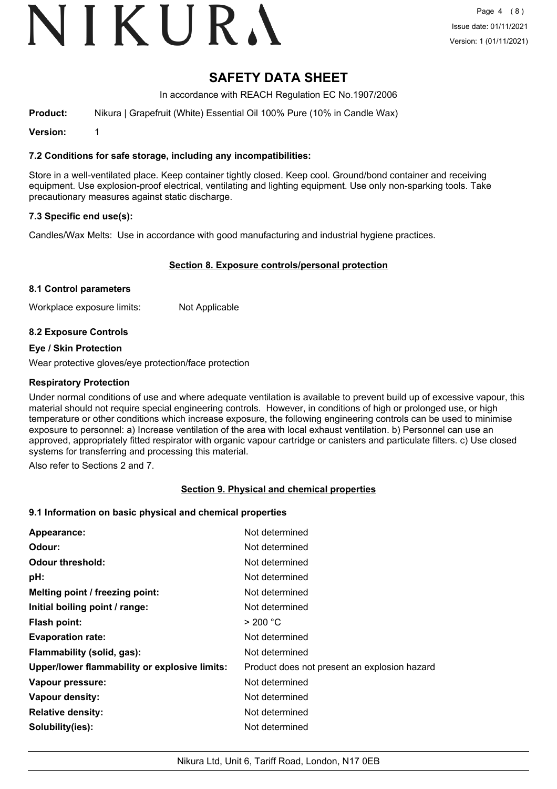# **SAFETY DATA SHEET**

In accordance with REACH Regulation EC No.1907/2006

**Product:** Nikura | Grapefruit (White) Essential Oil 100% Pure (10% in Candle Wax)

**Version:** 1

#### **7.2 Conditions for safe storage, including any incompatibilities:**

Store in a well-ventilated place. Keep container tightly closed. Keep cool. Ground/bond container and receiving equipment. Use explosion-proof electrical, ventilating and lighting equipment. Use only non-sparking tools. Take precautionary measures against static discharge.

#### **7.3 Specific end use(s):**

Candles/Wax Melts: Use in accordance with good manufacturing and industrial hygiene practices.

#### **Section 8. Exposure controls/personal protection**

#### **8.1 Control parameters**

Workplace exposure limits: Not Applicable

#### **8.2 Exposure Controls**

#### **Eye / Skin Protection**

Wear protective gloves/eye protection/face protection

#### **Respiratory Protection**

Under normal conditions of use and where adequate ventilation is available to prevent build up of excessive vapour, this material should not require special engineering controls. However, in conditions of high or prolonged use, or high temperature or other conditions which increase exposure, the following engineering controls can be used to minimise exposure to personnel: a) Increase ventilation of the area with local exhaust ventilation. b) Personnel can use an approved, appropriately fitted respirator with organic vapour cartridge or canisters and particulate filters. c) Use closed systems for transferring and processing this material.

Also refer to Sections 2 and 7.

# **Section 9. Physical and chemical properties**

#### **9.1 Information on basic physical and chemical properties**

| Not determined                               |
|----------------------------------------------|
| Not determined                               |
| Not determined                               |
| Not determined                               |
| Not determined                               |
| Not determined                               |
| > 200 °C                                     |
| Not determined                               |
| Not determined                               |
| Product does not present an explosion hazard |
| Not determined                               |
| Not determined                               |
| Not determined                               |
| Not determined                               |
|                                              |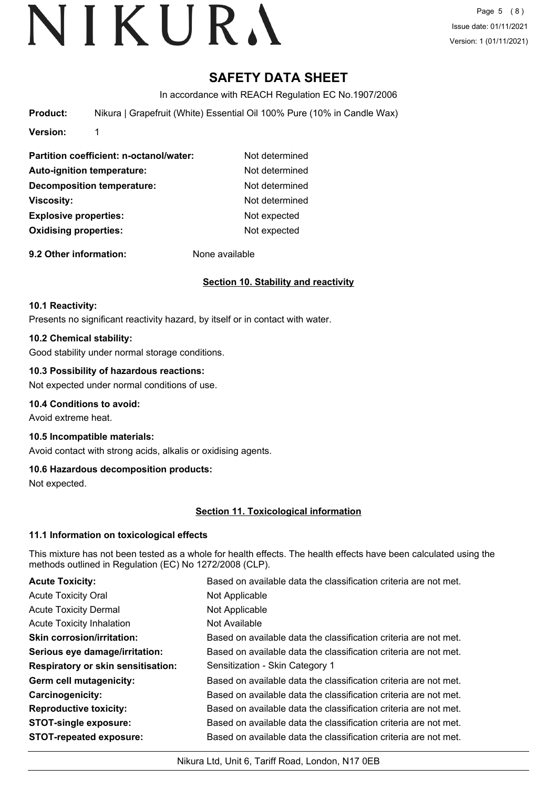Page 5 (8) Issue date: 01/11/2021 Version: 1 (01/11/2021)

# **SAFETY DATA SHEET**

In accordance with REACH Regulation EC No.1907/2006

**Product:** Nikura | Grapefruit (White) Essential Oil 100% Pure (10% in Candle Wax)

**Version:** 1

| Partition coefficient: n-octanol/water: | Not determined |
|-----------------------------------------|----------------|
| <b>Auto-ignition temperature:</b>       | Not determined |
| <b>Decomposition temperature:</b>       | Not determined |
| <b>Viscosity:</b>                       | Not determined |
| <b>Explosive properties:</b>            | Not expected   |
| <b>Oxidising properties:</b>            | Not expected   |
|                                         |                |

**9.2 Other information:** None available

# **Section 10. Stability and reactivity**

#### **10.1 Reactivity:**

Presents no significant reactivity hazard, by itself or in contact with water.

#### **10.2 Chemical stability:**

Good stability under normal storage conditions.

#### **10.3 Possibility of hazardous reactions:**

Not expected under normal conditions of use.

#### **10.4 Conditions to avoid:**

Avoid extreme heat.

# **10.5 Incompatible materials:**

Avoid contact with strong acids, alkalis or oxidising agents.

# **10.6 Hazardous decomposition products:**

Not expected.

# **Section 11. Toxicological information**

# **11.1 Information on toxicological effects**

This mixture has not been tested as a whole for health effects. The health effects have been calculated using the methods outlined in Regulation (EC) No 1272/2008 (CLP).

| <b>Acute Toxicity:</b>                    | Based on available data the classification criteria are not met. |
|-------------------------------------------|------------------------------------------------------------------|
| <b>Acute Toxicity Oral</b>                | Not Applicable                                                   |
| <b>Acute Toxicity Dermal</b>              | Not Applicable                                                   |
| <b>Acute Toxicity Inhalation</b>          | Not Available                                                    |
| <b>Skin corrosion/irritation:</b>         | Based on available data the classification criteria are not met. |
| Serious eye damage/irritation:            | Based on available data the classification criteria are not met. |
| <b>Respiratory or skin sensitisation:</b> | Sensitization - Skin Category 1                                  |
| Germ cell mutagenicity:                   | Based on available data the classification criteria are not met. |
| Carcinogenicity:                          | Based on available data the classification criteria are not met. |
| <b>Reproductive toxicity:</b>             | Based on available data the classification criteria are not met. |
| <b>STOT-single exposure:</b>              | Based on available data the classification criteria are not met. |
| <b>STOT-repeated exposure:</b>            | Based on available data the classification criteria are not met. |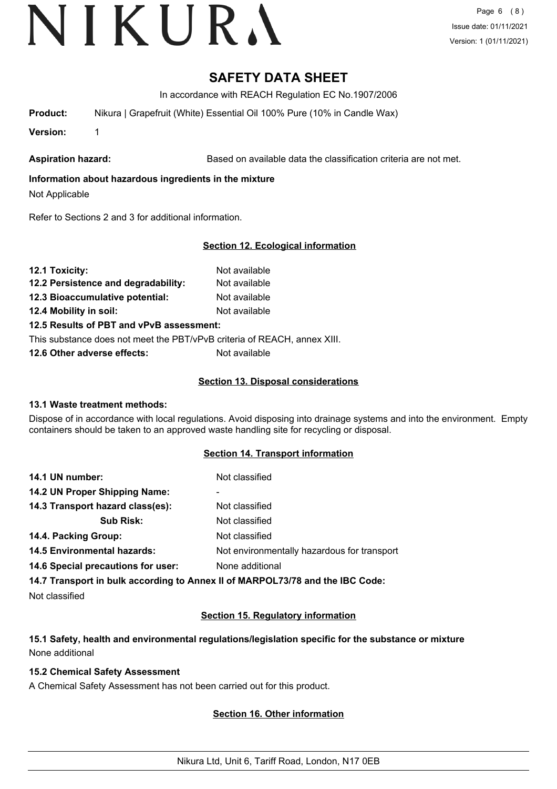Page 6 (8) Issue date: 01/11/2021 Version: 1 (01/11/2021)

# **SAFETY DATA SHEET**

In accordance with REACH Regulation EC No.1907/2006

**Product:** Nikura | Grapefruit (White) Essential Oil 100% Pure (10% in Candle Wax)

**Version:** 1

Aspiration hazard: **Based on available data the classification criteria are not met.** 

# **Information about hazardous ingredients in the mixture**

Not Applicable

Refer to Sections 2 and 3 for additional information.

# **Section 12. Ecological information**

| 12.1 Toxicity:                      | Not available |
|-------------------------------------|---------------|
| 12.2 Persistence and degradability: | Not available |

**12.3 Bioaccumulative potential:** Not available

**12.4 Mobility in soil:** Not available

**12.5 Results of PBT and vPvB assessment:**

This substance does not meet the PBT/vPvB criteria of REACH, annex XIII.

**12.6 Other adverse effects:** Not available

# **Section 13. Disposal considerations**

# **13.1 Waste treatment methods:**

Dispose of in accordance with local regulations. Avoid disposing into drainage systems and into the environment. Empty containers should be taken to an approved waste handling site for recycling or disposal.

# **Section 14. Transport information**

| 14.1 UN number:                                                            | Not classified  |
|----------------------------------------------------------------------------|-----------------|
| 14.2 UN Proper Shipping Name:                                              |                 |
| 14.3 Transport hazard class(es):                                           | Not classified  |
| <b>Sub Risk:</b>                                                           | Not classified  |
| 14.4. Packing Group:                                                       | Not classified  |
| Not environmentally hazardous for transport<br>14.5 Environmental hazards: |                 |
| 14.6 Special precautions for user:                                         | None additional |
|                                                                            |                 |

**14.7 Transport in bulk according to Annex II of MARPOL73/78 and the IBC Code:**

Not classified

# **Section 15. Regulatory information**

# **15.1 Safety, health and environmental regulations/legislation specific for the substance or mixture** None additional

# **15.2 Chemical Safety Assessment**

A Chemical Safety Assessment has not been carried out for this product.

# **Section 16. Other information**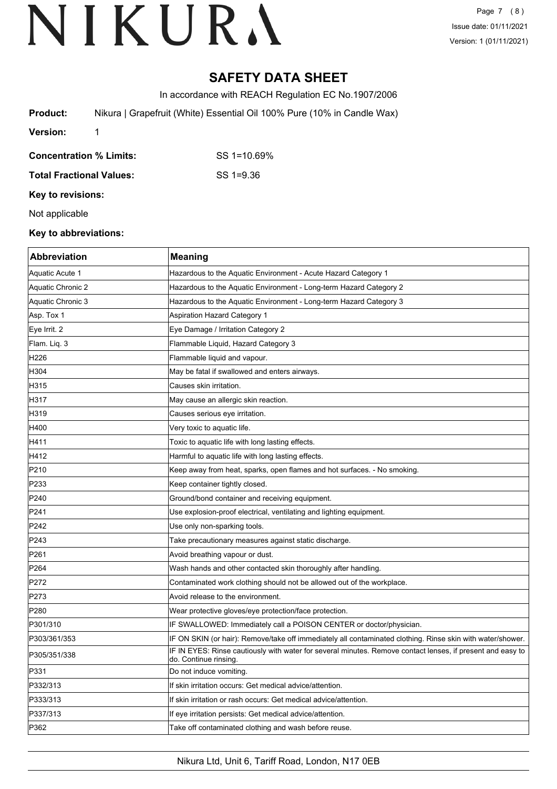Page 7 (8) Issue date: 01/11/2021 Version: 1 (01/11/2021)

# **SAFETY DATA SHEET**

In accordance with REACH Regulation EC No.1907/2006

**Product:** Nikura | Grapefruit (White) Essential Oil 100% Pure (10% in Candle Wax)

**Version:** 1

**Concentration % Limits:** SS 1=10.69%

**Total Fractional Values:** SS 1=9.36

**Key to revisions:**

Not applicable

#### **Key to abbreviations:**

| <b>Abbreviation</b>    | <b>Meaning</b>                                                                                                                      |
|------------------------|-------------------------------------------------------------------------------------------------------------------------------------|
| <b>Aquatic Acute 1</b> | Hazardous to the Aquatic Environment - Acute Hazard Category 1                                                                      |
| Aquatic Chronic 2      | Hazardous to the Aquatic Environment - Long-term Hazard Category 2                                                                  |
| Aquatic Chronic 3      | Hazardous to the Aquatic Environment - Long-term Hazard Category 3                                                                  |
| Asp. Tox 1             | <b>Aspiration Hazard Category 1</b>                                                                                                 |
| Eye Irrit. 2           | Eye Damage / Irritation Category 2                                                                                                  |
| Flam. Liq. 3           | Flammable Liquid, Hazard Category 3                                                                                                 |
| H <sub>226</sub>       | Flammable liquid and vapour.                                                                                                        |
| H304                   | May be fatal if swallowed and enters airways.                                                                                       |
| H315                   | Causes skin irritation.                                                                                                             |
| H317                   | May cause an allergic skin reaction.                                                                                                |
| H319                   | Causes serious eye irritation.                                                                                                      |
| H400                   | Very toxic to aquatic life.                                                                                                         |
| H411                   | Toxic to aquatic life with long lasting effects.                                                                                    |
| H412                   | Harmful to aquatic life with long lasting effects.                                                                                  |
| P210                   | Keep away from heat, sparks, open flames and hot surfaces. - No smoking.                                                            |
| P233                   | Keep container tightly closed.                                                                                                      |
| P240                   | Ground/bond container and receiving equipment.                                                                                      |
| P241                   | Use explosion-proof electrical, ventilating and lighting equipment.                                                                 |
| P242                   | Use only non-sparking tools.                                                                                                        |
| P243                   | Take precautionary measures against static discharge.                                                                               |
| P261                   | Avoid breathing vapour or dust.                                                                                                     |
| P <sub>264</sub>       | Wash hands and other contacted skin thoroughly after handling.                                                                      |
| P272                   | Contaminated work clothing should not be allowed out of the workplace.                                                              |
| P273                   | Avoid release to the environment.                                                                                                   |
| P280                   | Wear protective gloves/eye protection/face protection.                                                                              |
| P301/310               | IF SWALLOWED: Immediately call a POISON CENTER or doctor/physician.                                                                 |
| P303/361/353           | IF ON SKIN (or hair): Remove/take off immediately all contaminated clothing. Rinse skin with water/shower.                          |
| P305/351/338           | IF IN EYES: Rinse cautiously with water for several minutes. Remove contact lenses, if present and easy to<br>do. Continue rinsing. |
| P331                   | Do not induce vomiting.                                                                                                             |
| P332/313               | If skin irritation occurs: Get medical advice/attention.                                                                            |
| P333/313               | If skin irritation or rash occurs: Get medical advice/attention.                                                                    |
| P337/313               | If eye irritation persists: Get medical advice/attention.                                                                           |
| P362                   | Take off contaminated clothing and wash before reuse.                                                                               |